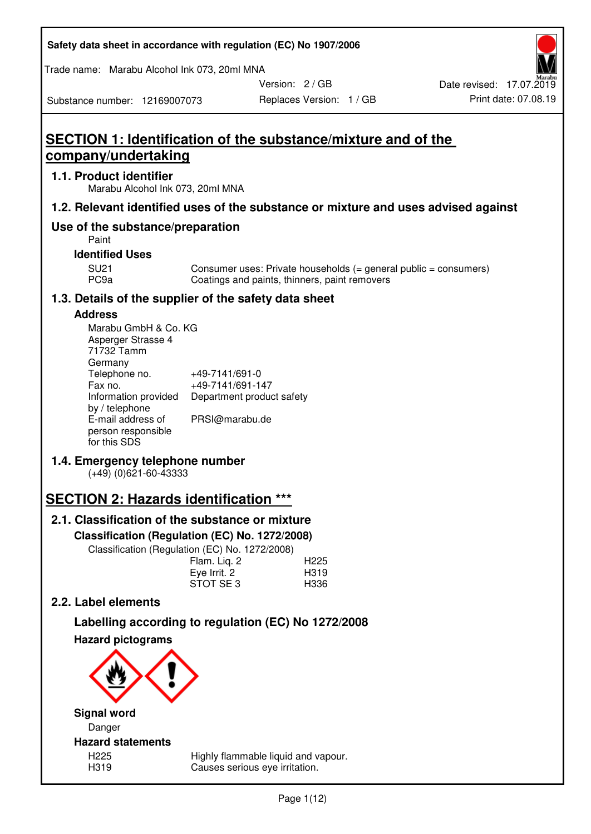| Safety data sheet in accordance with regulation (EC) No 1907/2006 |  |
|-------------------------------------------------------------------|--|
|-------------------------------------------------------------------|--|

Trade name: Marabu Alcohol Ink 073, 20ml MNA

Version: 2 / GB

Substance number: 12169007073

# **SECTION 1: Identification of the substance/mixture and of the company/undertaking**

## **1.1. Product identifier**

Marabu Alcohol Ink 073, 20ml MNA

## **1.2. Relevant identified uses of the substance or mixture and uses advised against**

## **Use of the substance/preparation**

Paint

## **Identified Uses**

SU21 Consumer uses: Private households (= general public = consumers)<br>PC9a Coatings and paints, thinners, paint removers Coatings and paints, thinners, paint removers

## **1.3. Details of the supplier of the safety data sheet**

## **Address**

| Marabu GmbH & Co. KG |                           |
|----------------------|---------------------------|
| Asperger Strasse 4   |                           |
| 71732 Tamm           |                           |
| Germany              |                           |
| Telephone no.        | +49-7141/691-0            |
| Fax no.              | +49-7141/691-147          |
| Information provided | Department product safety |
| by / telephone       |                           |
| E-mail address of    | PRSI@marabu.de            |
| person responsible   |                           |
| for this SDS         |                           |

## **1.4. Emergency telephone number**

(+49) (0)621-60-43333

# **SECTION 2: Hazards identification \*\*\***

## **2.1. Classification of the substance or mixture**

**Classification (Regulation (EC) No. 1272/2008)** 

Classification (Regulation (EC) No. 1272/2008)

|              | . |                  |
|--------------|---|------------------|
| Flam. Liq. 2 |   | H <sub>225</sub> |
| Eye Irrit. 2 |   | H319             |
| STOT SE3     |   | H336             |
|              |   |                  |

## **2.2. Label elements**

# **Labelling according to regulation (EC) No 1272/2008**



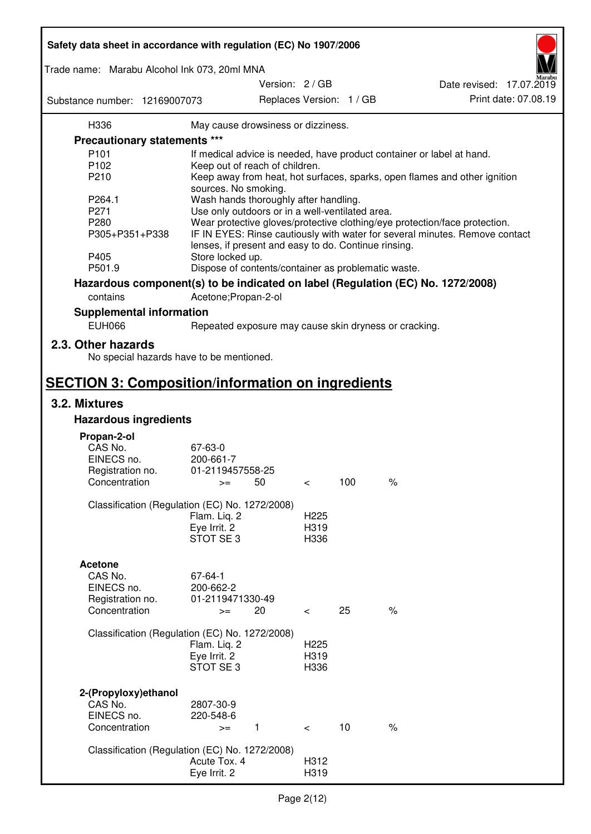| Safety data sheet in accordance with regulation (EC) No 1907/2006 |                                                       |                 |                  |                          |                                                                                 |
|-------------------------------------------------------------------|-------------------------------------------------------|-----------------|------------------|--------------------------|---------------------------------------------------------------------------------|
| Trade name: Marabu Alcohol Ink 073, 20ml MNA                      |                                                       | Version: 2 / GB |                  |                          |                                                                                 |
| Substance number: 12169007073                                     |                                                       |                 |                  | Replaces Version: 1 / GB | Date revised: 17.07.2019<br>Print date: 07.08.19                                |
| H336                                                              | May cause drowsiness or dizziness.                    |                 |                  |                          |                                                                                 |
| <b>Precautionary statements ***</b>                               |                                                       |                 |                  |                          |                                                                                 |
| P <sub>101</sub>                                                  |                                                       |                 |                  |                          | If medical advice is needed, have product container or label at hand.           |
| P102                                                              | Keep out of reach of children.                        |                 |                  |                          |                                                                                 |
| P210                                                              |                                                       |                 |                  |                          | Keep away from heat, hot surfaces, sparks, open flames and other ignition       |
|                                                                   | sources. No smoking.                                  |                 |                  |                          |                                                                                 |
| P264.1                                                            | Wash hands thoroughly after handling.                 |                 |                  |                          |                                                                                 |
| P271                                                              | Use only outdoors or in a well-ventilated area.       |                 |                  |                          |                                                                                 |
| P280                                                              |                                                       |                 |                  |                          | Wear protective gloves/protective clothing/eye protection/face protection.      |
| P305+P351+P338                                                    |                                                       |                 |                  |                          | IF IN EYES: Rinse cautiously with water for several minutes. Remove contact     |
|                                                                   | lenses, if present and easy to do. Continue rinsing.  |                 |                  |                          |                                                                                 |
| P405                                                              | Store locked up.                                      |                 |                  |                          |                                                                                 |
| P501.9                                                            | Dispose of contents/container as problematic waste.   |                 |                  |                          |                                                                                 |
|                                                                   |                                                       |                 |                  |                          |                                                                                 |
|                                                                   |                                                       |                 |                  |                          | Hazardous component(s) to be indicated on label (Regulation (EC) No. 1272/2008) |
| contains                                                          | Acetone; Propan-2-ol                                  |                 |                  |                          |                                                                                 |
| <b>Supplemental information</b>                                   |                                                       |                 |                  |                          |                                                                                 |
| <b>EUH066</b>                                                     | Repeated exposure may cause skin dryness or cracking. |                 |                  |                          |                                                                                 |
| 2.3. Other hazards                                                |                                                       |                 |                  |                          |                                                                                 |
| No special hazards have to be mentioned.                          |                                                       |                 |                  |                          |                                                                                 |
| <b>SECTION 3: Composition/information on ingredients</b>          |                                                       |                 |                  |                          |                                                                                 |
| 3.2. Mixtures                                                     |                                                       |                 |                  |                          |                                                                                 |
| <b>Hazardous ingredients</b>                                      |                                                       |                 |                  |                          |                                                                                 |
|                                                                   |                                                       |                 |                  |                          |                                                                                 |
| Propan-2-ol                                                       |                                                       |                 |                  |                          |                                                                                 |
| CAS No.                                                           | 67-63-0                                               |                 |                  |                          |                                                                                 |
| EINECS no.                                                        | 200-661-7                                             |                 |                  |                          |                                                                                 |
| Registration no.                                                  | 01-2119457558-25                                      |                 |                  |                          |                                                                                 |
| Concentration                                                     | $>=$                                                  | 50              | $\,<\,$          | 100                      | $\%$                                                                            |
| Classification (Regulation (EC) No. 1272/2008)                    |                                                       |                 |                  |                          |                                                                                 |
|                                                                   | Flam. Liq. 2                                          |                 | H <sub>225</sub> |                          |                                                                                 |
|                                                                   | Eye Irrit. 2                                          |                 | H319             |                          |                                                                                 |
|                                                                   | STOT SE3                                              |                 | H336             |                          |                                                                                 |
|                                                                   |                                                       |                 |                  |                          |                                                                                 |
| <b>Acetone</b>                                                    |                                                       |                 |                  |                          |                                                                                 |
| CAS No.                                                           | 67-64-1                                               |                 |                  |                          |                                                                                 |
| EINECS no.                                                        | 200-662-2                                             |                 |                  |                          |                                                                                 |
| Registration no.                                                  | 01-2119471330-49                                      |                 |                  |                          |                                                                                 |
| Concentration                                                     | $>=$                                                  | 20              | $\,<\,$          | 25                       | $\frac{1}{6}$                                                                   |
|                                                                   |                                                       |                 |                  |                          |                                                                                 |
| Classification (Regulation (EC) No. 1272/2008)                    |                                                       |                 |                  |                          |                                                                                 |
|                                                                   | Flam. Liq. 2                                          |                 | H <sub>225</sub> |                          |                                                                                 |
|                                                                   | Eye Irrit. 2                                          |                 | H319             |                          |                                                                                 |
|                                                                   | STOT SE <sub>3</sub>                                  |                 | H336             |                          |                                                                                 |
|                                                                   |                                                       |                 |                  |                          |                                                                                 |
| 2-(Propyloxy) ethanol                                             |                                                       |                 |                  |                          |                                                                                 |
| CAS No.                                                           | 2807-30-9                                             |                 |                  |                          |                                                                                 |
| EINECS no.                                                        | 220-548-6                                             |                 |                  |                          |                                                                                 |
| Concentration                                                     | $\mathbf{1}$<br>$>=$                                  |                 | $\lt$            | 10                       | $\%$                                                                            |
|                                                                   |                                                       |                 |                  |                          |                                                                                 |
| Classification (Regulation (EC) No. 1272/2008)                    |                                                       |                 |                  |                          |                                                                                 |
|                                                                   | Acute Tox. 4                                          |                 | H312             |                          |                                                                                 |
|                                                                   | Eye Irrit. 2                                          |                 | H319             |                          |                                                                                 |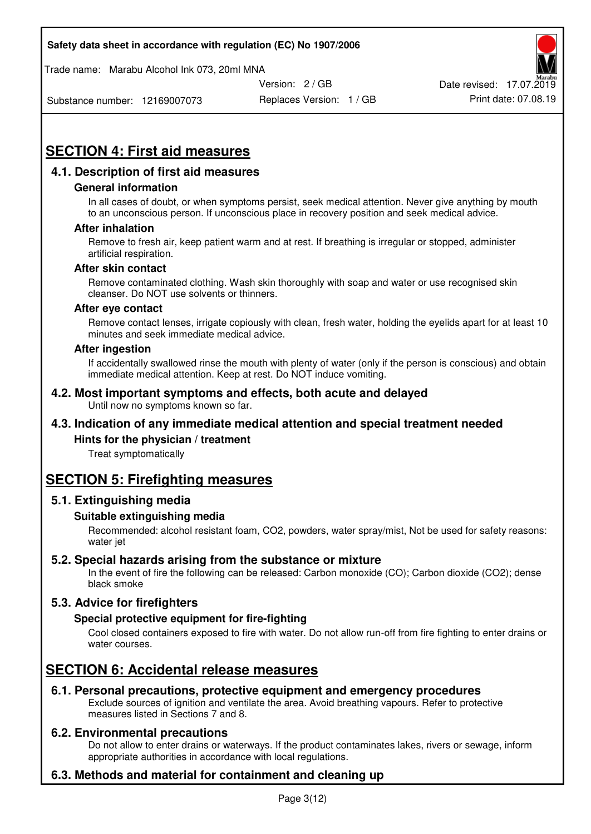Trade name: Marabu Alcohol Ink 073, 20ml MNA



Substance number: 12169007073

Replaces Version: 1 / GB Print date: 07.08.19

# **SECTION 4: First aid measures**

## **4.1. Description of first aid measures**

#### **General information**

In all cases of doubt, or when symptoms persist, seek medical attention. Never give anything by mouth to an unconscious person. If unconscious place in recovery position and seek medical advice.

#### **After inhalation**

Remove to fresh air, keep patient warm and at rest. If breathing is irregular or stopped, administer artificial respiration.

#### **After skin contact**

Remove contaminated clothing. Wash skin thoroughly with soap and water or use recognised skin cleanser. Do NOT use solvents or thinners.

#### **After eye contact**

Remove contact lenses, irrigate copiously with clean, fresh water, holding the eyelids apart for at least 10 minutes and seek immediate medical advice.

#### **After ingestion**

If accidentally swallowed rinse the mouth with plenty of water (only if the person is conscious) and obtain immediate medical attention. Keep at rest. Do NOT induce vomiting.

#### **4.2. Most important symptoms and effects, both acute and delayed**  Until now no symptoms known so far.

## **4.3. Indication of any immediate medical attention and special treatment needed**

#### **Hints for the physician / treatment**

Treat symptomatically

## **SECTION 5: Firefighting measures**

#### **5.1. Extinguishing media**

#### **Suitable extinguishing media**

Recommended: alcohol resistant foam, CO2, powders, water spray/mist, Not be used for safety reasons: water jet

#### **5.2. Special hazards arising from the substance or mixture**

In the event of fire the following can be released: Carbon monoxide (CO); Carbon dioxide (CO2); dense black smoke

## **5.3. Advice for firefighters**

#### **Special protective equipment for fire-fighting**

Cool closed containers exposed to fire with water. Do not allow run-off from fire fighting to enter drains or water courses.

## **SECTION 6: Accidental release measures**

#### **6.1. Personal precautions, protective equipment and emergency procedures**

Exclude sources of ignition and ventilate the area. Avoid breathing vapours. Refer to protective measures listed in Sections 7 and 8.

#### **6.2. Environmental precautions**

Do not allow to enter drains or waterways. If the product contaminates lakes, rivers or sewage, inform appropriate authorities in accordance with local regulations.

## **6.3. Methods and material for containment and cleaning up**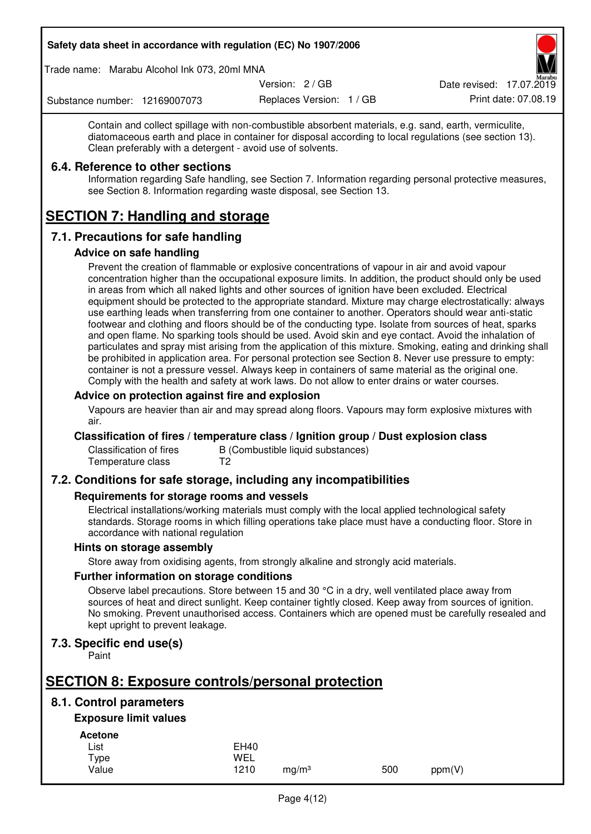Trade name: Marabu Alcohol Ink 073, 20ml MNA

Version: 2 / GB

Replaces Version: 1 / GB Print date: 07.08.19 Date revised: 17.07.2019

Substance number: 12169007073

Contain and collect spillage with non-combustible absorbent materials, e.g. sand, earth, vermiculite, diatomaceous earth and place in container for disposal according to local regulations (see section 13). Clean preferably with a detergent - avoid use of solvents.

## **6.4. Reference to other sections**

Information regarding Safe handling, see Section 7. Information regarding personal protective measures, see Section 8. Information regarding waste disposal, see Section 13.

# **SECTION 7: Handling and storage**

## **7.1. Precautions for safe handling**

#### **Advice on safe handling**

Prevent the creation of flammable or explosive concentrations of vapour in air and avoid vapour concentration higher than the occupational exposure limits. In addition, the product should only be used in areas from which all naked lights and other sources of ignition have been excluded. Electrical equipment should be protected to the appropriate standard. Mixture may charge electrostatically: always use earthing leads when transferring from one container to another. Operators should wear anti-static footwear and clothing and floors should be of the conducting type. Isolate from sources of heat, sparks and open flame. No sparking tools should be used. Avoid skin and eye contact. Avoid the inhalation of particulates and spray mist arising from the application of this mixture. Smoking, eating and drinking shall be prohibited in application area. For personal protection see Section 8. Never use pressure to empty: container is not a pressure vessel. Always keep in containers of same material as the original one. Comply with the health and safety at work laws. Do not allow to enter drains or water courses.

#### **Advice on protection against fire and explosion**

Vapours are heavier than air and may spread along floors. Vapours may form explosive mixtures with air.

#### **Classification of fires / temperature class / Ignition group / Dust explosion class**

Classification of fires B (Combustible liquid substances)<br>Temperature class T2 Temperature class

## **7.2. Conditions for safe storage, including any incompatibilities**

#### **Requirements for storage rooms and vessels**

Electrical installations/working materials must comply with the local applied technological safety standards. Storage rooms in which filling operations take place must have a conducting floor. Store in accordance with national regulation

#### **Hints on storage assembly**

Store away from oxidising agents, from strongly alkaline and strongly acid materials.

#### **Further information on storage conditions**

Observe label precautions. Store between 15 and 30 °C in a dry, well ventilated place away from sources of heat and direct sunlight. Keep container tightly closed. Keep away from sources of ignition. No smoking. Prevent unauthorised access. Containers which are opened must be carefully resealed and kept upright to prevent leakage.

## **7.3. Specific end use(s)**

Paint

# **SECTION 8: Exposure controls/personal protection**

## **8.1. Control parameters**

## **Exposure limit values**

**Acetone** 

| -------- |             |                   |     |        |
|----------|-------------|-------------------|-----|--------|
| List     | <b>EH40</b> |                   |     |        |
| Type     | WEL         |                   |     |        |
| Value    | 1210        | ma/m <sup>3</sup> | 500 | ppm(V) |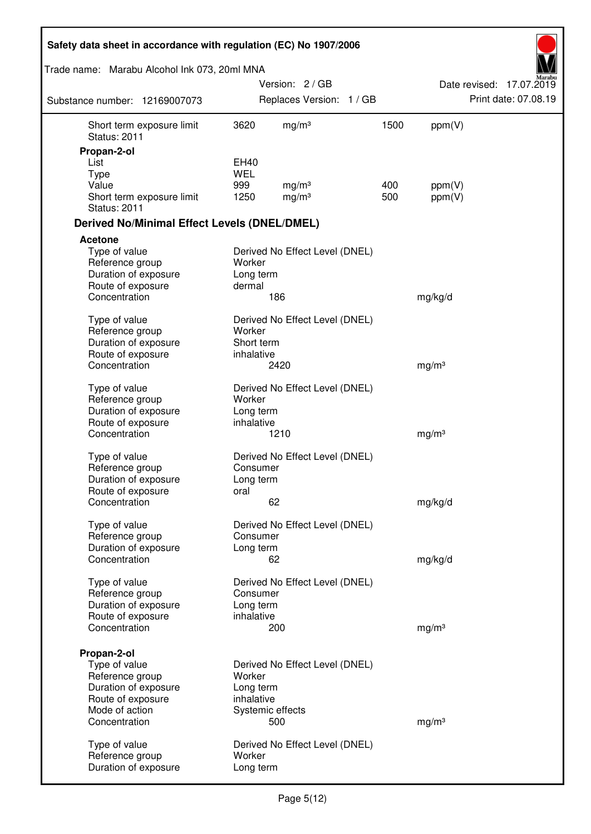| Safety data sheet in accordance with regulation (EC) No 1907/2006 |                     |                                |      |                   |                          |
|-------------------------------------------------------------------|---------------------|--------------------------------|------|-------------------|--------------------------|
| Trade name: Marabu Alcohol Ink 073, 20ml MNA                      |                     |                                |      |                   |                          |
|                                                                   |                     | Version: 2/GB                  |      |                   | Date revised: 17.07.2019 |
| Substance number: 12169007073                                     |                     | Replaces Version: 1 / GB       |      |                   | Print date: 07.08.19     |
| Short term exposure limit<br><b>Status: 2011</b>                  | 3620                | mg/m <sup>3</sup>              | 1500 | ppm(V)            |                          |
| Propan-2-ol                                                       |                     |                                |      |                   |                          |
| List<br>Type                                                      | EH40<br><b>WEL</b>  |                                |      |                   |                          |
| Value                                                             | 999                 | mg/m <sup>3</sup>              | 400  | ppm(V)            |                          |
| Short term exposure limit<br><b>Status: 2011</b>                  | 1250                | mg/m <sup>3</sup>              | 500  | ppm(V)            |                          |
| <b>Derived No/Minimal Effect Levels (DNEL/DMEL)</b>               |                     |                                |      |                   |                          |
| <b>Acetone</b>                                                    |                     |                                |      |                   |                          |
| Type of value                                                     |                     | Derived No Effect Level (DNEL) |      |                   |                          |
| Reference group                                                   | Worker              |                                |      |                   |                          |
| Duration of exposure<br>Route of exposure                         | Long term<br>dermal |                                |      |                   |                          |
| Concentration                                                     |                     | 186                            |      | mg/kg/d           |                          |
|                                                                   |                     |                                |      |                   |                          |
| Type of value                                                     |                     | Derived No Effect Level (DNEL) |      |                   |                          |
| Reference group                                                   | Worker              |                                |      |                   |                          |
| Duration of exposure                                              | Short term          |                                |      |                   |                          |
| Route of exposure<br>Concentration                                | inhalative          | 2420                           |      | mg/m <sup>3</sup> |                          |
|                                                                   |                     |                                |      |                   |                          |
| Type of value                                                     |                     | Derived No Effect Level (DNEL) |      |                   |                          |
| Reference group                                                   | Worker              |                                |      |                   |                          |
| Duration of exposure                                              | Long term           |                                |      |                   |                          |
| Route of exposure                                                 | inhalative          |                                |      |                   |                          |
| Concentration                                                     |                     | 1210                           |      | mg/m <sup>3</sup> |                          |
| Type of value                                                     |                     | Derived No Effect Level (DNEL) |      |                   |                          |
| Reference group                                                   | Consumer            |                                |      |                   |                          |
| Duration of exposure                                              | Long term           |                                |      |                   |                          |
| Route of exposure                                                 | oral                |                                |      |                   |                          |
| Concentration                                                     |                     | 62                             |      | mg/kg/d           |                          |
| Type of value                                                     |                     | Derived No Effect Level (DNEL) |      |                   |                          |
| Reference group                                                   | Consumer            |                                |      |                   |                          |
| Duration of exposure                                              | Long term           |                                |      |                   |                          |
| Concentration                                                     |                     | 62                             |      | mg/kg/d           |                          |
| Type of value                                                     |                     | Derived No Effect Level (DNEL) |      |                   |                          |
| Reference group                                                   | Consumer            |                                |      |                   |                          |
| Duration of exposure                                              | Long term           |                                |      |                   |                          |
| Route of exposure                                                 | inhalative          |                                |      |                   |                          |
| Concentration                                                     |                     | 200                            |      | mg/m <sup>3</sup> |                          |
|                                                                   |                     |                                |      |                   |                          |
| Propan-2-ol                                                       |                     |                                |      |                   |                          |
| Type of value<br>Reference group                                  | Worker              | Derived No Effect Level (DNEL) |      |                   |                          |
| Duration of exposure                                              | Long term           |                                |      |                   |                          |
| Route of exposure                                                 | inhalative          |                                |      |                   |                          |
| Mode of action                                                    |                     | Systemic effects               |      |                   |                          |
| Concentration                                                     |                     | 500                            |      | mg/m <sup>3</sup> |                          |
|                                                                   |                     | Derived No Effect Level (DNEL) |      |                   |                          |
| Type of value<br>Reference group                                  | Worker              |                                |      |                   |                          |
| Duration of exposure                                              | Long term           |                                |      |                   |                          |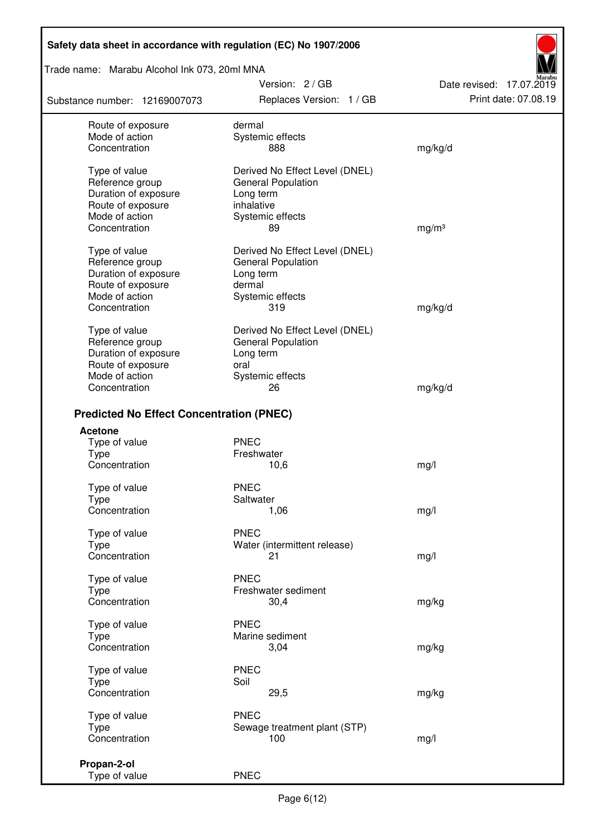## Trade name: Marabu Alcohol Ink 073, 20ml MNA

Substance number: 12169007073

Version: 2 / GB Replaces Version: 1 / GB Print date: 07.08.19

Date revised: 17.07.2019

| Route of exposure                               | dermal                         |                   |
|-------------------------------------------------|--------------------------------|-------------------|
| Mode of action                                  | Systemic effects               |                   |
| Concentration                                   | 888                            | mg/kg/d           |
|                                                 |                                |                   |
| Type of value                                   | Derived No Effect Level (DNEL) |                   |
|                                                 |                                |                   |
| Reference group                                 | General Population             |                   |
| Duration of exposure                            | Long term                      |                   |
| Route of exposure                               | inhalative                     |                   |
| Mode of action                                  | Systemic effects               |                   |
| Concentration                                   | 89                             | mg/m <sup>3</sup> |
|                                                 |                                |                   |
| Type of value                                   | Derived No Effect Level (DNEL) |                   |
| Reference group                                 | <b>General Population</b>      |                   |
|                                                 |                                |                   |
| Duration of exposure                            | Long term                      |                   |
| Route of exposure                               | dermal                         |                   |
| Mode of action                                  | Systemic effects               |                   |
| Concentration                                   | 319                            | mg/kg/d           |
|                                                 |                                |                   |
| Type of value                                   | Derived No Effect Level (DNEL) |                   |
| Reference group                                 | <b>General Population</b>      |                   |
| Duration of exposure                            | Long term                      |                   |
|                                                 | oral                           |                   |
| Route of exposure                               |                                |                   |
| Mode of action                                  | Systemic effects               |                   |
| Concentration                                   | 26                             | mg/kg/d           |
|                                                 |                                |                   |
| <b>Predicted No Effect Concentration (PNEC)</b> |                                |                   |
| <b>Acetone</b>                                  |                                |                   |
| Type of value                                   | <b>PNEC</b>                    |                   |
| <b>Type</b>                                     | Freshwater                     |                   |
| Concentration                                   | 10,6                           | mg/l              |
|                                                 |                                |                   |
| Type of value                                   | <b>PNEC</b>                    |                   |
| <b>Type</b>                                     | Saltwater                      |                   |
| Concentration                                   | 1,06                           | mg/l              |
|                                                 |                                |                   |
| Type of value                                   | <b>PNEC</b>                    |                   |
| Type                                            | Water (intermittent release)   |                   |
| Concentration                                   | 21 —                           | mg/l              |
|                                                 |                                |                   |
| Type of value                                   | <b>PNEC</b>                    |                   |
| Type                                            | Freshwater sediment            |                   |
| Concentration                                   | 30,4                           | mg/kg             |
|                                                 |                                |                   |
| Type of value                                   | <b>PNEC</b>                    |                   |
| Type                                            | Marine sediment                |                   |
| Concentration                                   | 3,04                           |                   |
|                                                 |                                | mg/kg             |
| Type of value                                   | <b>PNEC</b>                    |                   |
| <b>Type</b>                                     | Soil                           |                   |
|                                                 |                                |                   |
| Concentration                                   | 29,5                           | mg/kg             |
| Type of value                                   | <b>PNEC</b>                    |                   |
| <b>Type</b>                                     |                                |                   |
|                                                 | Sewage treatment plant (STP)   |                   |
| Concentration                                   | 100                            | mg/l              |
|                                                 |                                |                   |
| Propan-2-ol                                     |                                |                   |
| Type of value                                   | <b>PNEC</b>                    |                   |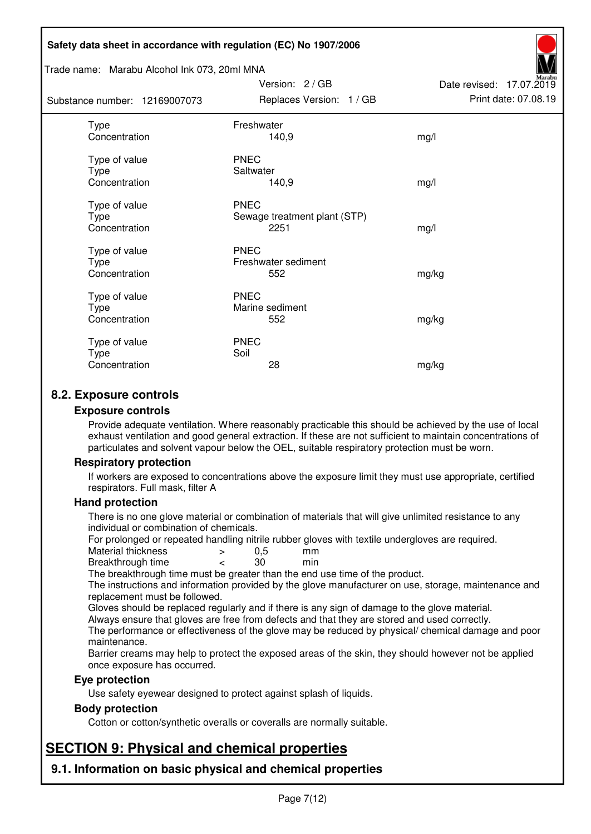#### Trade name: Marabu Alcohol Ink 073, 20ml MNA

Subs<sup>t</sup>

| tance number: 12169007073              | Replaces Version: 1 / GB                            | Print date: 07.08.19 |
|----------------------------------------|-----------------------------------------------------|----------------------|
| Type<br>Concentration                  | Freshwater<br>140,9                                 | mg/l                 |
| Type of value<br>Type<br>Concentration | <b>PNEC</b><br>Saltwater<br>140,9                   | mg/l                 |
| Type of value<br>Type<br>Concentration | <b>PNEC</b><br>Sewage treatment plant (STP)<br>2251 | mg/l                 |
| Type of value<br>Type<br>Concentration | <b>PNEC</b><br>Freshwater sediment<br>552           | mg/kg                |
| Type of value<br>Type<br>Concentration | <b>PNEC</b><br>Marine sediment<br>552               | mg/kg                |
| Type of value<br>Type<br>Concentration | <b>PNEC</b><br>Soil<br>28                           | mg/kg                |

Version: 2 / GB

Date revised: 17.07.2019

## **8.2. Exposure controls**

#### **Exposure controls**

Provide adequate ventilation. Where reasonably practicable this should be achieved by the use of local exhaust ventilation and good general extraction. If these are not sufficient to maintain concentrations of particulates and solvent vapour below the OEL, suitable respiratory protection must be worn.

#### **Respiratory protection**

If workers are exposed to concentrations above the exposure limit they must use appropriate, certified respirators. Full mask, filter A

#### **Hand protection**

There is no one glove material or combination of materials that will give unlimited resistance to any individual or combination of chemicals.

For prolonged or repeated handling nitrile rubber gloves with textile undergloves are required.<br>Material thickness  $\geq 0.5$  mm

- Material thickness  $\begin{array}{ccc} 0.5 \\ -8.5 \end{array}$  Material thickness  $\begin{array}{ccc} 0.5 \\ -8.5 \end{array}$
- Breakthrough time < 30 min

The breakthrough time must be greater than the end use time of the product.

The instructions and information provided by the glove manufacturer on use, storage, maintenance and replacement must be followed.

Gloves should be replaced regularly and if there is any sign of damage to the glove material.

Always ensure that gloves are free from defects and that they are stored and used correctly.

The performance or effectiveness of the glove may be reduced by physical/ chemical damage and poor maintenance.

Barrier creams may help to protect the exposed areas of the skin, they should however not be applied once exposure has occurred.

#### **Eye protection**

Use safety eyewear designed to protect against splash of liquids.

#### **Body protection**

Cotton or cotton/synthetic overalls or coveralls are normally suitable.

# **SECTION 9: Physical and chemical properties**

**9.1. Information on basic physical and chemical properties**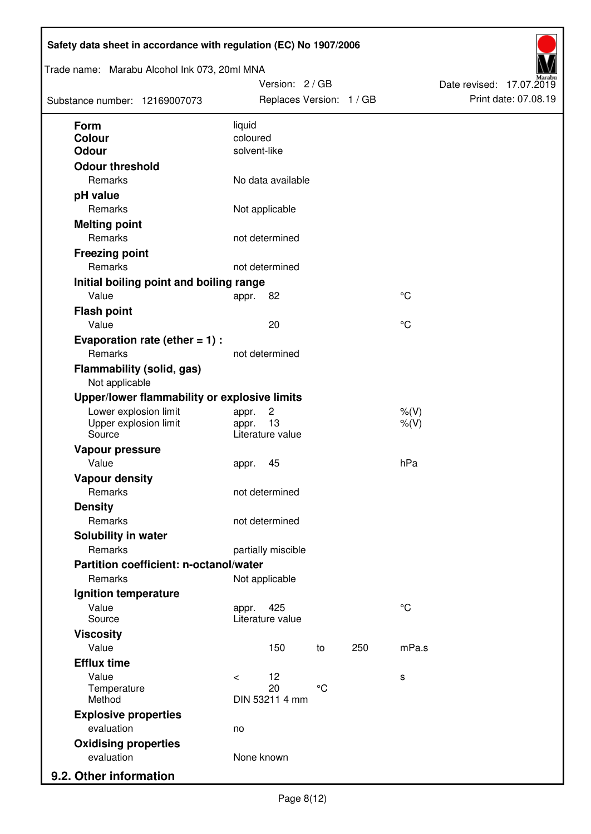| Trade name: Marabu Alcohol Ink 073, 20ml MNA<br>Substance number: 12169007073 |                          | Version: 2 / GB<br>Replaces Version: 1 / GB |                 |     |                      | Date revised: 17.07.2019 | Print date: 07.08.19 |
|-------------------------------------------------------------------------------|--------------------------|---------------------------------------------|-----------------|-----|----------------------|--------------------------|----------------------|
| <b>Form</b>                                                                   | liquid                   |                                             |                 |     |                      |                          |                      |
| Colour                                                                        | coloured<br>solvent-like |                                             |                 |     |                      |                          |                      |
| Odour                                                                         |                          |                                             |                 |     |                      |                          |                      |
| <b>Odour threshold</b><br>Remarks                                             |                          | No data available                           |                 |     |                      |                          |                      |
|                                                                               |                          |                                             |                 |     |                      |                          |                      |
| pH value<br>Remarks                                                           |                          | Not applicable                              |                 |     |                      |                          |                      |
| <b>Melting point</b>                                                          |                          |                                             |                 |     |                      |                          |                      |
| Remarks                                                                       |                          | not determined                              |                 |     |                      |                          |                      |
| <b>Freezing point</b>                                                         |                          |                                             |                 |     |                      |                          |                      |
| Remarks                                                                       |                          | not determined                              |                 |     |                      |                          |                      |
| Initial boiling point and boiling range                                       |                          |                                             |                 |     |                      |                          |                      |
| Value                                                                         | appr.                    | 82                                          |                 |     | $^{\circ}C$          |                          |                      |
| <b>Flash point</b>                                                            |                          |                                             |                 |     |                      |                          |                      |
| Value                                                                         |                          | 20                                          |                 |     | °C                   |                          |                      |
| Evaporation rate (ether $= 1$ ) :                                             |                          |                                             |                 |     |                      |                          |                      |
| Remarks                                                                       |                          | not determined                              |                 |     |                      |                          |                      |
| <b>Flammability (solid, gas)</b><br>Not applicable                            |                          |                                             |                 |     |                      |                          |                      |
| Upper/lower flammability or explosive limits                                  |                          |                                             |                 |     |                      |                          |                      |
| Lower explosion limit<br>Upper explosion limit<br>Source                      | appr.<br>appr.           | $\overline{c}$<br>13<br>Literature value    |                 |     | $%$ (V)<br>$%$ $(V)$ |                          |                      |
| Vapour pressure                                                               |                          |                                             |                 |     |                      |                          |                      |
| Value                                                                         | appr.                    | 45                                          |                 |     | hPa                  |                          |                      |
| <b>Vapour density</b>                                                         |                          |                                             |                 |     |                      |                          |                      |
| Remarks                                                                       |                          | not determined                              |                 |     |                      |                          |                      |
| <b>Density</b>                                                                |                          |                                             |                 |     |                      |                          |                      |
| Remarks                                                                       |                          | not determined                              |                 |     |                      |                          |                      |
| Solubility in water                                                           |                          |                                             |                 |     |                      |                          |                      |
| Remarks                                                                       |                          | partially miscible                          |                 |     |                      |                          |                      |
| Partition coefficient: n-octanol/water                                        |                          |                                             |                 |     |                      |                          |                      |
| Remarks                                                                       |                          | Not applicable                              |                 |     |                      |                          |                      |
| Ignition temperature                                                          |                          |                                             |                 |     |                      |                          |                      |
| Value<br>Source                                                               | appr.                    | 425<br>Literature value                     |                 |     | $^{\circ}C$          |                          |                      |
| <b>Viscosity</b>                                                              |                          |                                             |                 |     |                      |                          |                      |
| Value                                                                         |                          | 150                                         | to              | 250 | mPa.s                |                          |                      |
| <b>Efflux time</b>                                                            |                          |                                             |                 |     |                      |                          |                      |
| Value                                                                         | $\prec$                  | 12                                          |                 |     | s                    |                          |                      |
| Temperature<br>Method                                                         |                          | 20<br>DIN 53211 4 mm                        | $\rm ^{\circ}C$ |     |                      |                          |                      |
| <b>Explosive properties</b>                                                   |                          |                                             |                 |     |                      |                          |                      |
| evaluation                                                                    | no                       |                                             |                 |     |                      |                          |                      |
| <b>Oxidising properties</b>                                                   |                          |                                             |                 |     |                      |                          |                      |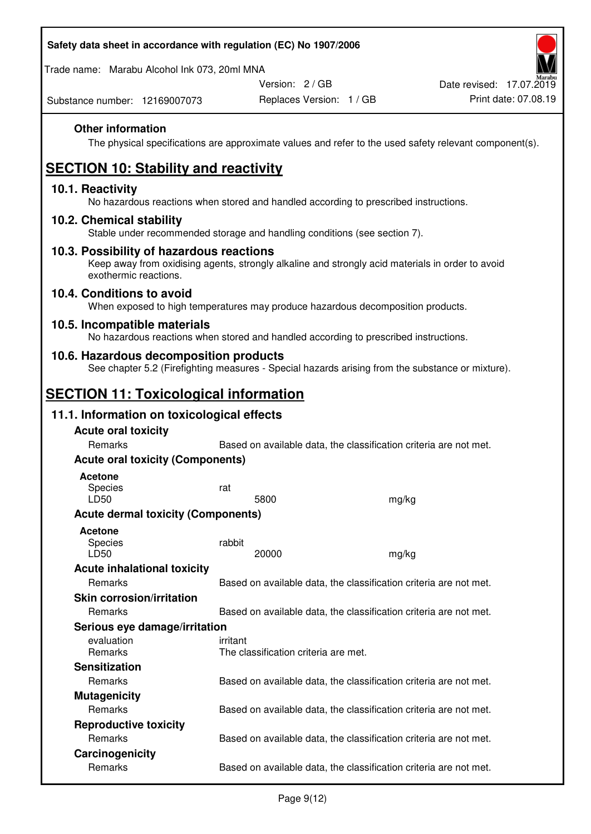Trade name: Marabu Alcohol Ink 073, 20ml MNA

Version: 2 / GB

Replaces Version: 1 / GB Print date: 07.08.19 Date revised: 17.07.2019

Substance number: 12169007073

## **Other information**

The physical specifications are approximate values and refer to the used safety relevant component(s).

# **SECTION 10: Stability and reactivity**

## **10.1. Reactivity**

No hazardous reactions when stored and handled according to prescribed instructions.

### **10.2. Chemical stability**

Stable under recommended storage and handling conditions (see section 7).

### **10.3. Possibility of hazardous reactions**

Keep away from oxidising agents, strongly alkaline and strongly acid materials in order to avoid exothermic reactions.

#### **10.4. Conditions to avoid**

When exposed to high temperatures may produce hazardous decomposition products.

### **10.5. Incompatible materials**

No hazardous reactions when stored and handled according to prescribed instructions.

### **10.6. Hazardous decomposition products**

See chapter 5.2 (Firefighting measures - Special hazards arising from the substance or mixture).

## **SECTION 11: Toxicological information**

## **11.1. Information on toxicological effects**

| <b>Acute oral toxicity</b><br>Remarks     |                                                  | Based on available data, the classification criteria are not met. |  |  |  |
|-------------------------------------------|--------------------------------------------------|-------------------------------------------------------------------|--|--|--|
| <b>Acute oral toxicity (Components)</b>   |                                                  |                                                                   |  |  |  |
| <b>Acetone</b><br>Species<br>LD50         | rat<br>5800                                      | mg/kg                                                             |  |  |  |
| <b>Acute dermal toxicity (Components)</b> |                                                  |                                                                   |  |  |  |
| <b>Acetone</b><br>Species<br>LD50         | rabbit<br>20000                                  | mg/kg                                                             |  |  |  |
| <b>Acute inhalational toxicity</b>        |                                                  |                                                                   |  |  |  |
| <b>Remarks</b>                            |                                                  | Based on available data, the classification criteria are not met. |  |  |  |
| <b>Skin corrosion/irritation</b>          |                                                  |                                                                   |  |  |  |
| <b>Remarks</b>                            |                                                  | Based on available data, the classification criteria are not met. |  |  |  |
| Serious eye damage/irritation             |                                                  |                                                                   |  |  |  |
| evaluation<br><b>Remarks</b>              | irritant<br>The classification criteria are met. |                                                                   |  |  |  |
| <b>Sensitization</b>                      |                                                  |                                                                   |  |  |  |
| <b>Remarks</b>                            |                                                  | Based on available data, the classification criteria are not met. |  |  |  |
| <b>Mutagenicity</b>                       |                                                  |                                                                   |  |  |  |
| Remarks                                   |                                                  | Based on available data, the classification criteria are not met. |  |  |  |
| <b>Reproductive toxicity</b>              |                                                  |                                                                   |  |  |  |
| <b>Remarks</b>                            |                                                  | Based on available data, the classification criteria are not met. |  |  |  |
| Carcinogenicity                           |                                                  |                                                                   |  |  |  |
| <b>Remarks</b>                            |                                                  | Based on available data, the classification criteria are not met. |  |  |  |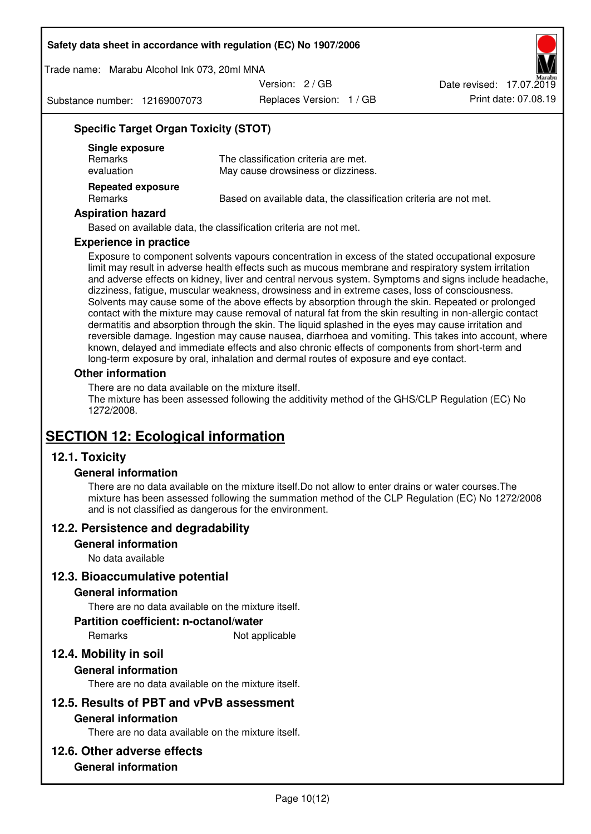Trade name: Marabu Alcohol Ink 073, 20ml MNA

Version: 2 / GB

Substance number: 12169007073

Replaces Version: 1 / GB Print date: 07.08.19 Date revised: 17.07.2019

## **Specific Target Organ Toxicity (STOT)**

| Single exposure<br><b>Remarks</b><br>evaluation | The classification criteria are met.<br>May cause drowsiness or dizziness. |
|-------------------------------------------------|----------------------------------------------------------------------------|
| <b>Repeated exposure</b><br>Remarks             | Based on available data, the classification criteria are not met.          |

#### **Aspiration hazard**

Based on available data, the classification criteria are not met.

#### **Experience in practice**

Exposure to component solvents vapours concentration in excess of the stated occupational exposure limit may result in adverse health effects such as mucous membrane and respiratory system irritation and adverse effects on kidney, liver and central nervous system. Symptoms and signs include headache, dizziness, fatigue, muscular weakness, drowsiness and in extreme cases, loss of consciousness. Solvents may cause some of the above effects by absorption through the skin. Repeated or prolonged contact with the mixture may cause removal of natural fat from the skin resulting in non-allergic contact dermatitis and absorption through the skin. The liquid splashed in the eyes may cause irritation and reversible damage. Ingestion may cause nausea, diarrhoea and vomiting. This takes into account, where known, delayed and immediate effects and also chronic effects of components from short-term and long-term exposure by oral, inhalation and dermal routes of exposure and eye contact.

#### **Other information**

There are no data available on the mixture itself. The mixture has been assessed following the additivity method of the GHS/CLP Regulation (EC) No 1272/2008.

## **SECTION 12: Ecological information**

## **12.1. Toxicity**

#### **General information**

There are no data available on the mixture itself.Do not allow to enter drains or water courses.The mixture has been assessed following the summation method of the CLP Regulation (EC) No 1272/2008 and is not classified as dangerous for the environment.

#### **12.2. Persistence and degradability**

#### **General information**

No data available

#### **12.3. Bioaccumulative potential**

#### **General information**

There are no data available on the mixture itself.

#### **Partition coefficient: n-octanol/water**

Remarks Not applicable

## **12.4. Mobility in soil**

#### **General information**

There are no data available on the mixture itself.

#### **12.5. Results of PBT and vPvB assessment**

#### **General information**

There are no data available on the mixture itself.

#### **12.6. Other adverse effects**

## **General information**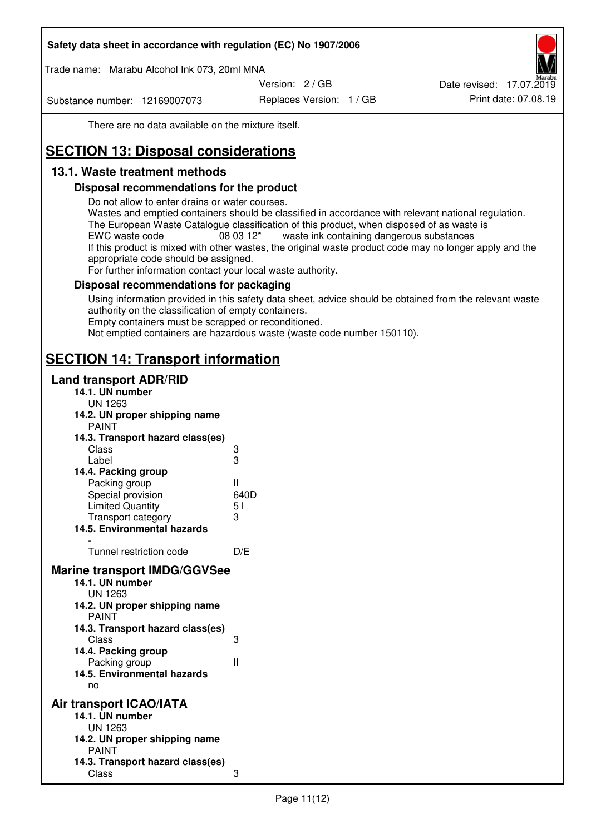Trade name: Marabu Alcohol Ink 073, 20ml MNA

Version: 2 / GB

Substance number: 12169007073

Replaces Version: 1 / GB Print date: 07.08.19 Date revised: 17.07.2019

There are no data available on the mixture itself.

# **SECTION 13: Disposal considerations**

## **13.1. Waste treatment methods**

### **Disposal recommendations for the product**

Do not allow to enter drains or water courses.

Wastes and emptied containers should be classified in accordance with relevant national regulation. The European Waste Catalogue classification of this product, when disposed of as waste is EWC waste code  $08\,03\,12^*$  waste ink containing dangerous substances If this product is mixed with other wastes, the original waste product code may no longer apply and the appropriate code should be assigned.

For further information contact your local waste authority.

### **Disposal recommendations for packaging**

Using information provided in this safety data sheet, advice should be obtained from the relevant waste authority on the classification of empty containers. Empty containers must be scrapped or reconditioned.

Not emptied containers are hazardous waste (waste code number 150110).

## **SECTION 14: Transport information**

### **Land transport ADR/RID**

| 14.1. UN number<br><b>UN 1263</b>                                                                                                                                                                                                            |                   |
|----------------------------------------------------------------------------------------------------------------------------------------------------------------------------------------------------------------------------------------------|-------------------|
| 14.2. UN proper shipping name                                                                                                                                                                                                                |                   |
| <b>PAINT</b>                                                                                                                                                                                                                                 |                   |
| 14.3. Transport hazard class(es)                                                                                                                                                                                                             |                   |
| Class                                                                                                                                                                                                                                        | ვ<br>ვ            |
| Label                                                                                                                                                                                                                                        |                   |
| 14.4. Packing group                                                                                                                                                                                                                          |                   |
| Packing group                                                                                                                                                                                                                                | Ш                 |
| Special provision                                                                                                                                                                                                                            | 640D              |
| <b>Limited Quantity</b>                                                                                                                                                                                                                      | 5 <sub>1</sub>    |
| Transport category                                                                                                                                                                                                                           | 3                 |
| 14.5. Environmental hazards                                                                                                                                                                                                                  |                   |
| Tunnel restriction code                                                                                                                                                                                                                      | D/E               |
| <b>Marine transport IMDG/GGVSee</b><br>14.1. UN number<br>UN 1263<br>14.2. UN proper shipping name<br><b>PAINT</b><br>14.3. Transport hazard class(es)<br>Class<br>14.4. Packing group<br>Packing group<br>14.5. Environmental hazards<br>no | 3<br>$\mathbf{I}$ |
| Air transport ICAO/IATA<br>14.1. UN number<br>UN 1263<br>14.2. UN proper shipping name<br><b>PAINT</b>                                                                                                                                       |                   |
| 14.3. Transport hazard class(es)<br>Class                                                                                                                                                                                                    | 3                 |